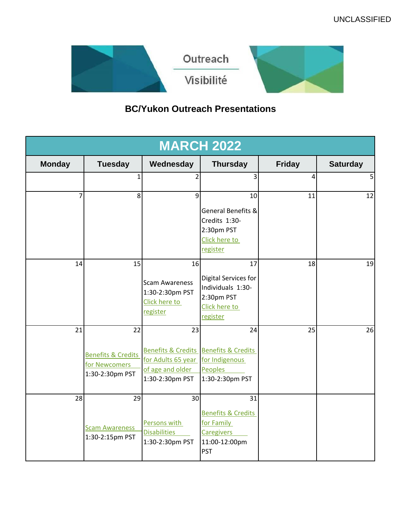

# **BC/Yukon Outreach Presentations**

| <b>MARCH 2022</b> |                                                                         |                                                                                                          |                                                                                                       |               |                 |
|-------------------|-------------------------------------------------------------------------|----------------------------------------------------------------------------------------------------------|-------------------------------------------------------------------------------------------------------|---------------|-----------------|
| <b>Monday</b>     | <b>Tuesday</b>                                                          | Wednesday                                                                                                | <b>Thursday</b>                                                                                       | <b>Friday</b> | <b>Saturday</b> |
|                   | $\mathbf{1}$                                                            | $\overline{2}$                                                                                           | 3                                                                                                     | 4             | 5 <sup>1</sup>  |
|                   | $\mathbf{8}$                                                            | 9                                                                                                        | 10<br>General Benefits &<br>Credits 1:30-<br>2:30pm PST<br>Click here to<br>register                  | 11            | 12              |
| 14                | 15                                                                      | 16<br><b>Scam Awareness</b><br>1:30-2:30pm PST<br>Click here to<br>register                              | 17<br>Digital Services for<br>Individuals 1:30-<br>2:30pm PST<br>Click here to<br>register            | 18            | 19              |
| 21                | 22<br><b>Benefits &amp; Credits</b><br>for Newcomers<br>1:30-2:30pm PST | 23<br>Benefits & Credits Benefits & Credits<br>for Adults 65 year<br>of age and older<br>1:30-2:30pm PST | 24<br>for Indigenous<br>Peoples<br>1:30-2:30pm PST                                                    | 25            | 26              |
| 28                | 29<br><b>Scam Awareness</b><br>1:30-2:15pm PST                          | 30<br>Persons with<br><b>Disabilities</b><br>1:30-2:30pm PST                                             | 31<br><b>Benefits &amp; Credits</b><br>for Family<br><b>Caregivers</b><br>11:00-12:00pm<br><b>PST</b> |               |                 |